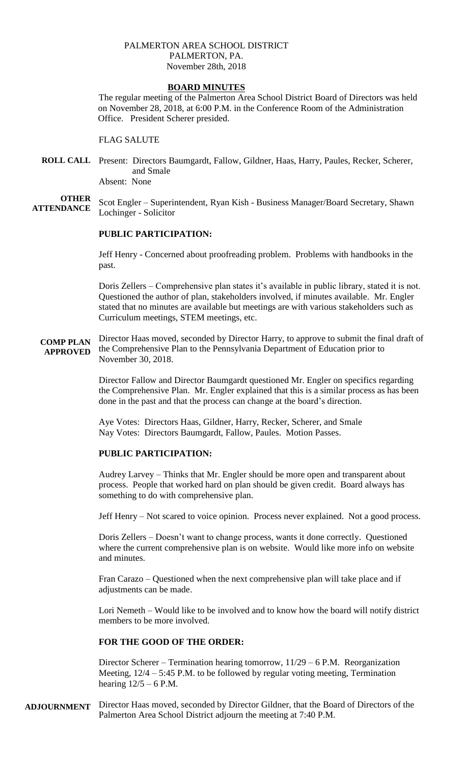### PALMERTON AREA SCHOOL DISTRICT PALMERTON, PA. November 28th, 2018

## **BOARD MINUTES**

The regular meeting of the Palmerton Area School District Board of Directors was held on November 28, 2018, at 6:00 P.M. in the Conference Room of the Administration Office. President Scherer presided.

FLAG SALUTE

**ROLL CALL** Present: Directors Baumgardt, Fallow, Gildner, Haas, Harry, Paules, Recker, Scherer, and Smale Absent: None

**OTHER ATTENDANCE** Scot Engler – Superintendent, Ryan Kish - Business Manager/Board Secretary, Shawn Lochinger - Solicitor

## **PUBLIC PARTICIPATION:**

Jeff Henry - Concerned about proofreading problem. Problems with handbooks in the past.

Doris Zellers – Comprehensive plan states it's available in public library, stated it is not. Questioned the author of plan, stakeholders involved, if minutes available. Mr. Engler stated that no minutes are available but meetings are with various stakeholders such as Curriculum meetings, STEM meetings, etc.

**COMP PLAN APPROVED** Director Haas moved, seconded by Director Harry, to approve to submit the final draft of the Comprehensive Plan to the Pennsylvania Department of Education prior to November 30, 2018.

> Director Fallow and Director Baumgardt questioned Mr. Engler on specifics regarding the Comprehensive Plan. Mr. Engler explained that this is a similar process as has been done in the past and that the process can change at the board's direction.

Aye Votes: Directors Haas, Gildner, Harry, Recker, Scherer, and Smale Nay Votes: Directors Baumgardt, Fallow, Paules. Motion Passes.

# **PUBLIC PARTICIPATION:**

Audrey Larvey – Thinks that Mr. Engler should be more open and transparent about process. People that worked hard on plan should be given credit. Board always has something to do with comprehensive plan.

Jeff Henry – Not scared to voice opinion. Process never explained. Not a good process.

Doris Zellers – Doesn't want to change process, wants it done correctly. Questioned where the current comprehensive plan is on website. Would like more info on website and minutes.

Fran Carazo – Questioned when the next comprehensive plan will take place and if adjustments can be made.

Lori Nemeth – Would like to be involved and to know how the board will notify district members to be more involved.

# **FOR THE GOOD OF THE ORDER:**

Director Scherer – Termination hearing tomorrow, 11/29 – 6 P.M. Reorganization Meeting, 12/4 – 5:45 P.M. to be followed by regular voting meeting, Termination hearing  $12/5 - 6$  P.M.

**ADJOURNMENT** Director Haas moved, seconded by Director Gildner, that the Board of Directors of the Palmerton Area School District adjourn the meeting at 7:40 P.M.